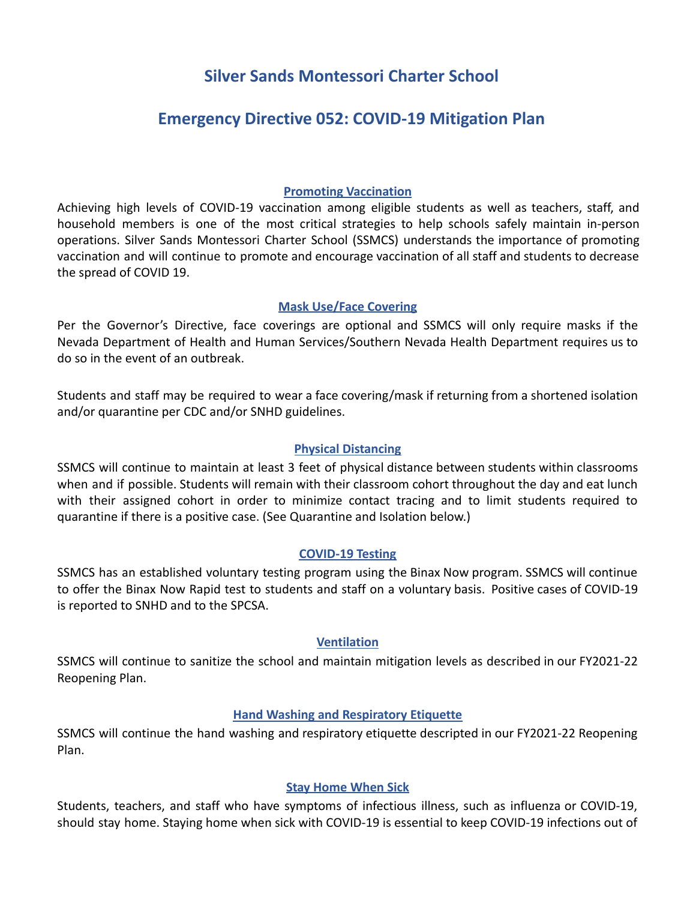# **Silver Sands Montessori Charter School**

# **Emergency Directive 052: COVID-19 Mitigation Plan**

# **Promoting Vaccination**

Achieving high levels of COVID-19 vaccination among eligible students as well as teachers, staff, and household members is one of the most critical strategies to help schools safely maintain in-person operations. Silver Sands Montessori Charter School (SSMCS) understands the importance of promoting vaccination and will continue to promote and encourage vaccination of all staff and students to decrease the spread of COVID 19.

# **Mask Use/Face Covering**

Per the Governor's Directive, face coverings are optional and SSMCS will only require masks if the Nevada Department of Health and Human Services/Southern Nevada Health Department requires us to do so in the event of an outbreak.

Students and staff may be required to wear a face covering/mask if returning from a shortened isolation and/or quarantine per CDC and/or SNHD guidelines.

# **Physical Distancing**

SSMCS will continue to maintain at least 3 feet of physical distance between students within classrooms when and if possible. Students will remain with their classroom cohort throughout the day and eat lunch with their assigned cohort in order to minimize contact tracing and to limit students required to quarantine if there is a positive case. (See Quarantine and Isolation below.)

## **COVID-19 Testing**

SSMCS has an established voluntary testing program using the Binax Now program. SSMCS will continue to offer the Binax Now Rapid test to students and staff on a voluntary basis. Positive cases of COVID-19 is reported to SNHD and to the SPCSA.

## **Ventilation**

SSMCS will continue to sanitize the school and maintain mitigation levels as described in our FY2021-22 Reopening Plan.

# **Hand Washing and Respiratory Etiquette**

SSMCS will continue the hand washing and respiratory etiquette descripted in our FY2021-22 Reopening Plan.

# **Stay Home When Sick**

Students, teachers, and staff who have symptoms of infectious illness, such as influenza or COVID-19, should stay home. Staying home when sick with COVID-19 is essential to keep COVID-19 infections out of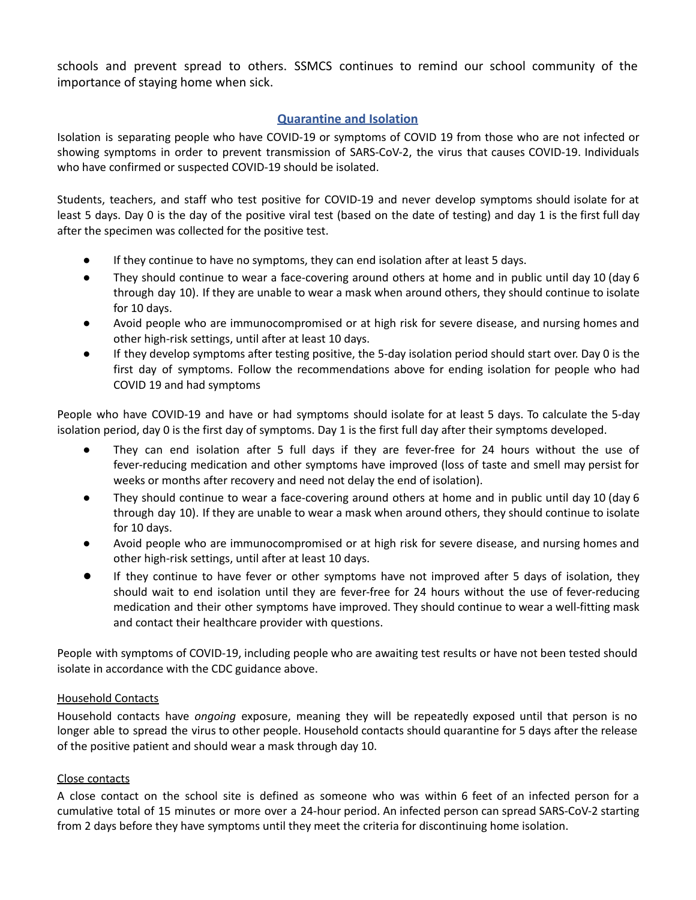schools and prevent spread to others. SSMCS continues to remind our school community of the importance of staying home when sick.

# **Quarantine and Isolation**

Isolation is separating people who have COVID-19 or symptoms of COVID 19 from those who are not infected or showing symptoms in order to prevent transmission of SARS-CoV-2, the virus that causes COVID-19. Individuals who have confirmed or suspected COVID-19 should be isolated.

Students, teachers, and staff who test positive for COVID-19 and never develop symptoms should isolate for at least 5 days. Day 0 is the day of the positive viral test (based on the date of testing) and day 1 is the first full day after the specimen was collected for the positive test.

- If they continue to have no symptoms, they can end isolation after at least 5 days.
- They should continue to wear a face-covering around others at home and in public until day 10 (day 6 through day 10). If they are unable to wear a mask when around others, they should continue to isolate for 10 days.
- Avoid people who are immunocompromised or at high risk for severe disease, and nursing homes and other high-risk settings, until after at least 10 days.
- If they develop symptoms after testing positive, the 5-day isolation period should start over. Day 0 is the first day of symptoms. Follow the recommendations above for ending isolation for people who had COVID 19 and had symptoms

People who have COVID-19 and have or had symptoms should isolate for at least 5 days. To calculate the 5-day isolation period, day 0 is the first day of symptoms. Day 1 is the first full day after their symptoms developed.

- They can end isolation after 5 full days if they are fever-free for 24 hours without the use of fever-reducing medication and other symptoms have improved (loss of taste and smell may persist for weeks or months after recovery and need not delay the end of isolation).
- They should continue to wear a face-covering around others at home and in public until day 10 (day 6 through day 10). If they are unable to wear a mask when around others, they should continue to isolate for 10 days.
- Avoid people who are immunocompromised or at high risk for severe disease, and nursing homes and other high-risk settings, until after at least 10 days.
- If they continue to have fever or other symptoms have not improved after 5 days of isolation, they should wait to end isolation until they are fever-free for 24 hours without the use of fever-reducing medication and their other symptoms have improved. They should continue to wear a well-fitting mask and contact their healthcare provider with questions.

People with symptoms of COVID-19, including people who are awaiting test results or have not been tested should isolate in accordance with the CDC guidance above.

### Household Contacts

Household contacts have *ongoing* exposure, meaning they will be repeatedly exposed until that person is no longer able to spread the virus to other people. Household contacts should quarantine for 5 days after the release of the positive patient and should wear a mask through day 10.

### Close contacts

A close contact on the school site is defined as someone who was within 6 feet of an infected person for a cumulative total of 15 minutes or more over a 24-hour period. An infected person can spread SARS-CoV-2 starting from 2 days before they have symptoms until they meet the criteria for discontinuing home isolation.